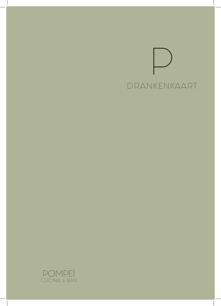# DRANKENKAART